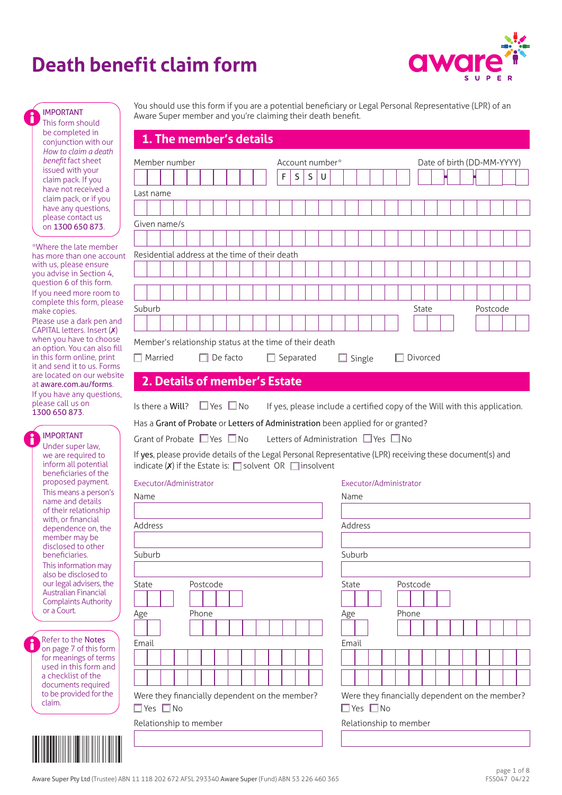# **Death benefit claim form**



This form should be completed in conjunction with our *How to claim a death benefit* fact sheet issued with your claim pack. If you have not received a claim pack, or if you have any questions, please contact us on 1300 650 873.

\*Where the late member has more than one account with us, please ensure you advise in Section 4, question 6 of this form. If you need more room to complete this form, please make copies.

Please use a dark pen and CAPITAL letters. Insert (✗) when you have to choose an option. You can also fill in this form online, print it and send it to us. Forms are located on our website at [aware.com.au/forms](https://aware.com.au/forms). If you have any questions, please call us on 1300 650 873.

IMPORTANT Under super law, we are required to inform all potential beneficiaries of the proposed payment. This means a person's name and details of their relationship with, or financial dependence on, the member may be disclosed to other beneficiaries. This information may also be disclosed to our legal advisers, the Australian Financial Complaints Authority or a Court.

**Refer to the Notes** on page 7 of this form for meanings of terms used in this form and a checklist of the documents required to be provided for the claim.

You should use this form if you are a potential beneficiary or Legal Personal Representative (LPR) of an Aware Super member and you're claiming their death benefit. IMPORTANT

# **1. The member's details**

| Member number                                                                                                                                                                                   | Account number*  |   |                                                                            |                        |                                                | Date of birth (DD-MM-YYYY) |          |  |
|-------------------------------------------------------------------------------------------------------------------------------------------------------------------------------------------------|------------------|---|----------------------------------------------------------------------------|------------------------|------------------------------------------------|----------------------------|----------|--|
| F                                                                                                                                                                                               | S<br>S           | U |                                                                            |                        |                                                |                            |          |  |
| Last name                                                                                                                                                                                       |                  |   |                                                                            |                        |                                                |                            |          |  |
|                                                                                                                                                                                                 |                  |   |                                                                            |                        |                                                |                            |          |  |
| Given name/s                                                                                                                                                                                    |                  |   |                                                                            |                        |                                                |                            |          |  |
|                                                                                                                                                                                                 |                  |   |                                                                            |                        |                                                |                            |          |  |
| Residential address at the time of their death                                                                                                                                                  |                  |   |                                                                            |                        |                                                |                            |          |  |
|                                                                                                                                                                                                 |                  |   |                                                                            |                        |                                                |                            |          |  |
|                                                                                                                                                                                                 |                  |   |                                                                            |                        |                                                |                            |          |  |
|                                                                                                                                                                                                 |                  |   |                                                                            |                        |                                                |                            |          |  |
| Suburb                                                                                                                                                                                          |                  |   |                                                                            |                        | State                                          |                            | Postcode |  |
|                                                                                                                                                                                                 |                  |   |                                                                            |                        |                                                |                            |          |  |
| Member's relationship status at the time of their death                                                                                                                                         |                  |   |                                                                            |                        |                                                |                            |          |  |
| $\Box$ Married<br>$\Box$ De facto                                                                                                                                                               | $\Box$ Separated |   | $\Box$ Single                                                              |                        | $\Box$ Divorced                                |                            |          |  |
|                                                                                                                                                                                                 |                  |   |                                                                            |                        |                                                |                            |          |  |
| 2. Details of member's Estate                                                                                                                                                                   |                  |   |                                                                            |                        |                                                |                            |          |  |
| $\square$ Yes $\square$ No<br>Is there a Will?                                                                                                                                                  |                  |   | If yes, please include a certified copy of the Will with this application. |                        |                                                |                            |          |  |
| Has a Grant of Probate or Letters of Administration been applied for or granted?                                                                                                                |                  |   |                                                                            |                        |                                                |                            |          |  |
| Grant of Probate $\Box$ Yes $\Box$ No                                                                                                                                                           |                  |   | Letters of Administration $\Box$ Yes $\Box$ No                             |                        |                                                |                            |          |  |
|                                                                                                                                                                                                 |                  |   |                                                                            |                        |                                                |                            |          |  |
| If yes, please provide details of the Legal Personal Representative (LPR) receiving these document(s) and<br>indicate ( $\boldsymbol{x}$ ) if the Estate is: $\Box$ solvent OR $\Box$ insolvent |                  |   |                                                                            |                        |                                                |                            |          |  |
| Executor/Administrator                                                                                                                                                                          |                  |   |                                                                            | Executor/Administrator |                                                |                            |          |  |
| Name                                                                                                                                                                                            |                  |   | Name                                                                       |                        |                                                |                            |          |  |
|                                                                                                                                                                                                 |                  |   |                                                                            |                        |                                                |                            |          |  |
| Address                                                                                                                                                                                         |                  |   | Address                                                                    |                        |                                                |                            |          |  |
|                                                                                                                                                                                                 |                  |   |                                                                            |                        |                                                |                            |          |  |
| Suburb                                                                                                                                                                                          |                  |   | Suburb                                                                     |                        |                                                |                            |          |  |
|                                                                                                                                                                                                 |                  |   |                                                                            |                        |                                                |                            |          |  |
| State<br>Postcode                                                                                                                                                                               |                  |   | <b>State</b>                                                               |                        | Postcode                                       |                            |          |  |
|                                                                                                                                                                                                 |                  |   |                                                                            |                        |                                                |                            |          |  |
| Age<br>Phone                                                                                                                                                                                    |                  |   | Age                                                                        |                        | Phone                                          |                            |          |  |
|                                                                                                                                                                                                 |                  |   |                                                                            |                        |                                                |                            |          |  |
| Email                                                                                                                                                                                           |                  |   | Email                                                                      |                        |                                                |                            |          |  |
|                                                                                                                                                                                                 |                  |   |                                                                            |                        |                                                |                            |          |  |
|                                                                                                                                                                                                 |                  |   |                                                                            |                        |                                                |                            |          |  |
| Were they financially dependent on the member?                                                                                                                                                  |                  |   |                                                                            |                        | Were they financially dependent on the member? |                            |          |  |
| $\square$ Yes $\square$ No                                                                                                                                                                      |                  |   | □Yes □No                                                                   |                        |                                                |                            |          |  |
| Relationship to member                                                                                                                                                                          |                  |   |                                                                            | Relationship to member |                                                |                            |          |  |
|                                                                                                                                                                                                 |                  |   |                                                                            |                        |                                                |                            |          |  |
|                                                                                                                                                                                                 |                  |   |                                                                            |                        |                                                |                            |          |  |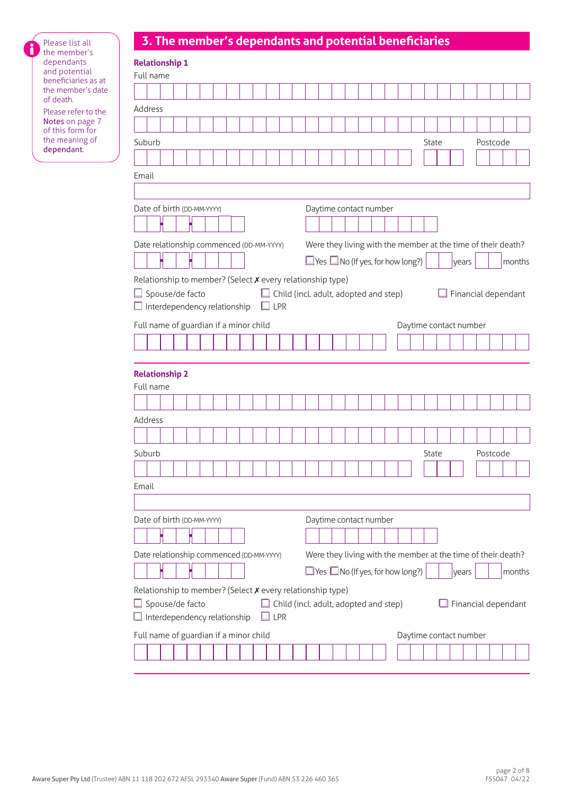|  |  | 3. The member's dependants and potential beneficiaries |
|--|--|--------------------------------------------------------|
|  |  |                                                        |
|  |  |                                                        |

i

| Please list all                        |                                                            | 3. The member's dependants and potential beneficiaries |  |  |  |            |  |                                              |  |                        |  |                                              |       |                        |       |                                                              |                     |
|----------------------------------------|------------------------------------------------------------|--------------------------------------------------------|--|--|--|------------|--|----------------------------------------------|--|------------------------|--|----------------------------------------------|-------|------------------------|-------|--------------------------------------------------------------|---------------------|
| the member's<br>dependants             | <b>Relationship 1</b>                                      |                                                        |  |  |  |            |  |                                              |  |                        |  |                                              |       |                        |       |                                                              |                     |
| and potential<br>beneficiaries as at   | Full name                                                  |                                                        |  |  |  |            |  |                                              |  |                        |  |                                              |       |                        |       |                                                              |                     |
| the member's date                      |                                                            |                                                        |  |  |  |            |  |                                              |  |                        |  |                                              |       |                        |       |                                                              |                     |
| of death.                              | Address                                                    |                                                        |  |  |  |            |  |                                              |  |                        |  |                                              |       |                        |       |                                                              |                     |
| Please refer to the<br>Notes on page 7 |                                                            |                                                        |  |  |  |            |  |                                              |  |                        |  |                                              |       |                        |       |                                                              |                     |
| of this form for                       |                                                            |                                                        |  |  |  |            |  |                                              |  |                        |  |                                              |       |                        |       |                                                              |                     |
| the meaning of<br>dependant.           | Suburb                                                     |                                                        |  |  |  |            |  |                                              |  |                        |  |                                              | State |                        |       | Postcode                                                     |                     |
|                                        |                                                            |                                                        |  |  |  |            |  |                                              |  |                        |  |                                              |       |                        |       |                                                              |                     |
|                                        | Email                                                      |                                                        |  |  |  |            |  |                                              |  |                        |  |                                              |       |                        |       |                                                              |                     |
|                                        |                                                            |                                                        |  |  |  |            |  |                                              |  |                        |  |                                              |       |                        |       |                                                              |                     |
|                                        | Date of birth (DD-MM-YYYY)                                 |                                                        |  |  |  |            |  |                                              |  | Daytime contact number |  |                                              |       |                        |       |                                                              |                     |
|                                        |                                                            |                                                        |  |  |  |            |  |                                              |  |                        |  |                                              |       |                        |       |                                                              |                     |
|                                        |                                                            |                                                        |  |  |  |            |  |                                              |  |                        |  |                                              |       |                        |       |                                                              |                     |
|                                        | Date relationship commenced (DD-MM-YYYY)                   |                                                        |  |  |  |            |  |                                              |  |                        |  |                                              |       |                        |       | Were they living with the member at the time of their death? |                     |
|                                        |                                                            |                                                        |  |  |  |            |  |                                              |  |                        |  | $\Box$ Yes $\Box$ No (If yes, for how long?) |       |                        | vears |                                                              | months              |
|                                        | Relationship to member? (Select X every relationship type) |                                                        |  |  |  |            |  |                                              |  |                        |  |                                              |       |                        |       |                                                              |                     |
|                                        | $\Box$ Spouse/de facto                                     |                                                        |  |  |  |            |  | $\Box$ Child (incl. adult, adopted and step) |  |                        |  |                                              |       |                        |       | $\Box$ Financial dependant                                   |                     |
|                                        | $\Box$ Interdependency relationship                        |                                                        |  |  |  | $\Box$ LPR |  |                                              |  |                        |  |                                              |       |                        |       |                                                              |                     |
|                                        | Full name of guardian if a minor child                     |                                                        |  |  |  |            |  |                                              |  |                        |  |                                              |       | Daytime contact number |       |                                                              |                     |
|                                        |                                                            |                                                        |  |  |  |            |  |                                              |  |                        |  |                                              |       |                        |       |                                                              |                     |
|                                        |                                                            |                                                        |  |  |  |            |  |                                              |  |                        |  |                                              |       |                        |       |                                                              |                     |
|                                        |                                                            |                                                        |  |  |  |            |  |                                              |  |                        |  |                                              |       |                        |       |                                                              |                     |
|                                        | <b>Relationship 2</b><br>Full name                         |                                                        |  |  |  |            |  |                                              |  |                        |  |                                              |       |                        |       |                                                              |                     |
|                                        |                                                            |                                                        |  |  |  |            |  |                                              |  |                        |  |                                              |       |                        |       |                                                              |                     |
|                                        |                                                            |                                                        |  |  |  |            |  |                                              |  |                        |  |                                              |       |                        |       |                                                              |                     |
|                                        | Address                                                    |                                                        |  |  |  |            |  |                                              |  |                        |  |                                              |       |                        |       |                                                              |                     |
|                                        |                                                            |                                                        |  |  |  |            |  |                                              |  |                        |  |                                              |       |                        |       |                                                              |                     |
|                                        | Suburb                                                     |                                                        |  |  |  |            |  |                                              |  |                        |  |                                              | State |                        |       | Postcode                                                     |                     |
|                                        |                                                            |                                                        |  |  |  |            |  |                                              |  |                        |  |                                              |       |                        |       |                                                              |                     |
|                                        | Email                                                      |                                                        |  |  |  |            |  |                                              |  |                        |  |                                              |       |                        |       |                                                              |                     |
|                                        |                                                            |                                                        |  |  |  |            |  |                                              |  |                        |  |                                              |       |                        |       |                                                              |                     |
|                                        |                                                            |                                                        |  |  |  |            |  |                                              |  |                        |  |                                              |       |                        |       |                                                              |                     |
|                                        | Date of birth (DD-MM-YYYY)                                 |                                                        |  |  |  |            |  |                                              |  | Daytime contact number |  |                                              |       |                        |       |                                                              |                     |
|                                        |                                                            |                                                        |  |  |  |            |  |                                              |  |                        |  |                                              |       |                        |       |                                                              |                     |
|                                        | Date relationship commenced (DD-MM-YYYY)                   |                                                        |  |  |  |            |  |                                              |  |                        |  |                                              |       |                        |       | Were they living with the member at the time of their death? |                     |
|                                        |                                                            |                                                        |  |  |  |            |  |                                              |  |                        |  | $\Box$ Yes $\Box$ No (If yes, for how long?) |       |                        | years |                                                              | months              |
|                                        | Relationship to member? (Select X every relationship type) |                                                        |  |  |  |            |  |                                              |  |                        |  |                                              |       |                        |       |                                                              |                     |
|                                        |                                                            | Spouse/de facto                                        |  |  |  |            |  | $\Box$ Child (incl. adult, adopted and step) |  |                        |  |                                              |       |                        |       |                                                              | Financial dependant |
|                                        |                                                            | Interdependency relationship                           |  |  |  | $\Box$ LPR |  |                                              |  |                        |  |                                              |       |                        |       |                                                              |                     |
|                                        |                                                            |                                                        |  |  |  |            |  |                                              |  |                        |  |                                              |       |                        |       |                                                              |                     |
|                                        | Full name of guardian if a minor child                     |                                                        |  |  |  |            |  |                                              |  |                        |  |                                              |       | Daytime contact number |       |                                                              |                     |
|                                        |                                                            |                                                        |  |  |  |            |  |                                              |  |                        |  |                                              |       |                        |       |                                                              |                     |
|                                        |                                                            |                                                        |  |  |  |            |  |                                              |  |                        |  |                                              |       |                        |       |                                                              |                     |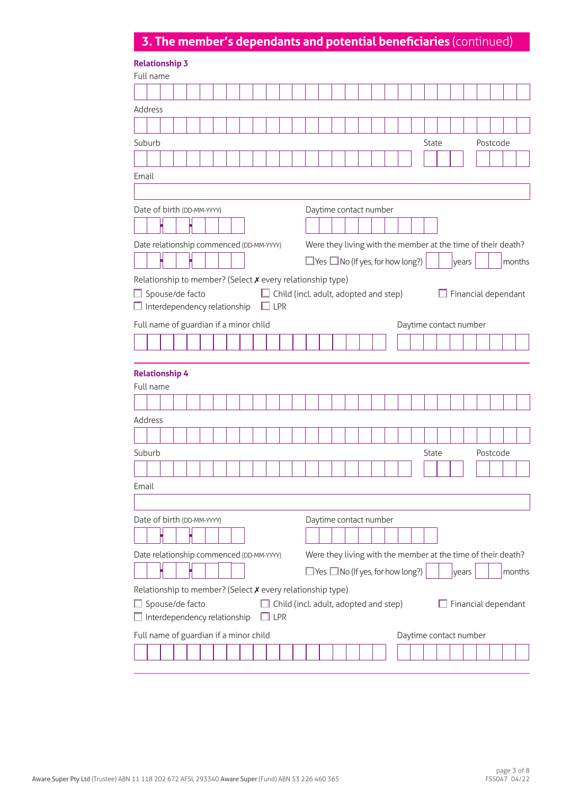# **3. The member's dependants and potential beneficiaries** (continued)

|                                                                               | <b>Relationship 3</b> |  |  |            |     |                                              |  |                        |  |                                              |                                                              |  |                     |          |        |
|-------------------------------------------------------------------------------|-----------------------|--|--|------------|-----|----------------------------------------------|--|------------------------|--|----------------------------------------------|--------------------------------------------------------------|--|---------------------|----------|--------|
| Full name                                                                     |                       |  |  |            |     |                                              |  |                        |  |                                              |                                                              |  |                     |          |        |
|                                                                               |                       |  |  |            |     |                                              |  |                        |  |                                              |                                                              |  |                     |          |        |
| Address                                                                       |                       |  |  |            |     |                                              |  |                        |  |                                              |                                                              |  |                     |          |        |
|                                                                               |                       |  |  |            |     |                                              |  |                        |  |                                              |                                                              |  |                     |          |        |
| Suburb                                                                        |                       |  |  |            |     |                                              |  |                        |  |                                              | State                                                        |  |                     | Postcode |        |
|                                                                               |                       |  |  |            |     |                                              |  |                        |  |                                              |                                                              |  |                     |          |        |
| Email                                                                         |                       |  |  |            |     |                                              |  |                        |  |                                              |                                                              |  |                     |          |        |
|                                                                               |                       |  |  |            |     |                                              |  |                        |  |                                              |                                                              |  |                     |          |        |
| Date of birth (DD-MM-YYYY)                                                    |                       |  |  |            |     |                                              |  | Daytime contact number |  |                                              |                                                              |  |                     |          |        |
|                                                                               |                       |  |  |            |     |                                              |  |                        |  |                                              |                                                              |  |                     |          |        |
|                                                                               |                       |  |  |            |     |                                              |  |                        |  |                                              |                                                              |  |                     |          |        |
| Date relationship commenced (DD-MM-YYYY)                                      |                       |  |  |            |     |                                              |  |                        |  |                                              | Were they living with the member at the time of their death? |  |                     |          |        |
|                                                                               |                       |  |  |            |     |                                              |  |                        |  | $\Box$ Yes $\Box$ No (If yes, for how long?) |                                                              |  | years               |          | months |
| Relationship to member? (Select X every relationship type)                    |                       |  |  |            |     |                                              |  |                        |  |                                              |                                                              |  |                     |          |        |
| Spouse/de facto<br>Interdependency relationship                               |                       |  |  | $\Box$ LPR |     | $\Box$ Child (incl. adult, adopted and step) |  |                        |  |                                              |                                                              |  | Financial dependant |          |        |
|                                                                               |                       |  |  |            |     |                                              |  |                        |  |                                              |                                                              |  |                     |          |        |
| Full name of guardian if a minor child                                        |                       |  |  |            |     |                                              |  |                        |  |                                              | Daytime contact number                                       |  |                     |          |        |
|                                                                               |                       |  |  |            |     |                                              |  |                        |  |                                              |                                                              |  |                     |          |        |
| <b>Relationship 4</b>                                                         |                       |  |  |            |     |                                              |  |                        |  |                                              |                                                              |  |                     |          |        |
| Full name                                                                     |                       |  |  |            |     |                                              |  |                        |  |                                              |                                                              |  |                     |          |        |
|                                                                               |                       |  |  |            |     |                                              |  |                        |  |                                              |                                                              |  |                     |          |        |
| Address                                                                       |                       |  |  |            |     |                                              |  |                        |  |                                              |                                                              |  |                     |          |        |
|                                                                               |                       |  |  |            |     |                                              |  |                        |  |                                              |                                                              |  |                     |          |        |
| Suburb                                                                        |                       |  |  |            |     |                                              |  |                        |  |                                              | State                                                        |  |                     | Postcode |        |
|                                                                               |                       |  |  |            |     |                                              |  |                        |  |                                              |                                                              |  |                     |          |        |
| Email                                                                         |                       |  |  |            |     |                                              |  |                        |  |                                              |                                                              |  |                     |          |        |
|                                                                               |                       |  |  |            |     |                                              |  |                        |  |                                              |                                                              |  |                     |          |        |
| Date of birth (DD-MM-YYYY)                                                    |                       |  |  |            |     |                                              |  | Daytime contact number |  |                                              |                                                              |  |                     |          |        |
|                                                                               |                       |  |  |            |     |                                              |  |                        |  |                                              |                                                              |  |                     |          |        |
| Date relationship commenced (DD-MM-YYYY)                                      |                       |  |  |            |     |                                              |  |                        |  |                                              | Were they living with the member at the time of their death? |  |                     |          |        |
|                                                                               |                       |  |  |            |     |                                              |  |                        |  | $\Box$ Yes $\Box$ No (If yes, for how long?) |                                                              |  | years               |          | months |
| Relationship to member? (Select X every relationship type)<br>Spouse/de facto |                       |  |  |            |     | $\Box$ Child (incl. adult, adopted and step) |  |                        |  |                                              |                                                              |  | Financial dependant |          |        |
| Interdependency relationship                                                  |                       |  |  |            | LPR |                                              |  |                        |  |                                              |                                                              |  |                     |          |        |
| Full name of guardian if a minor child                                        |                       |  |  |            |     |                                              |  |                        |  |                                              | Daytime contact number                                       |  |                     |          |        |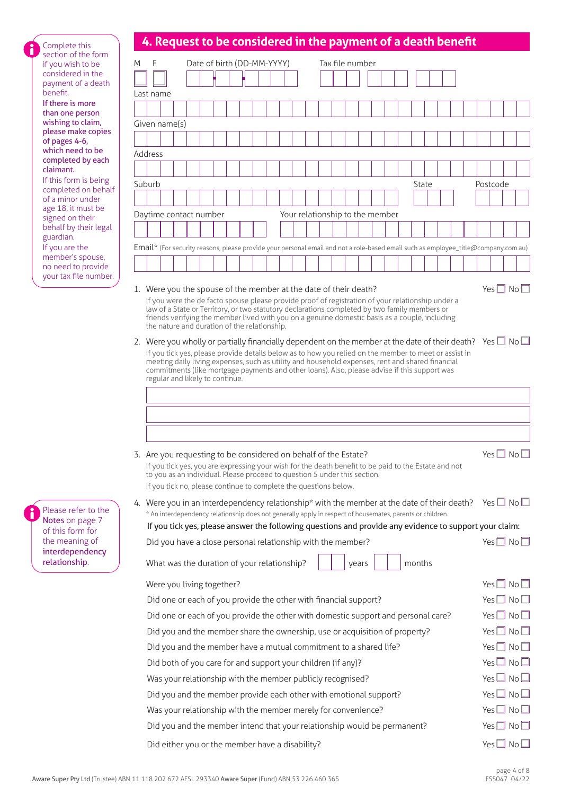# **4. Request to be considered in the payment of a death benefit**

| Complete this<br>section of the form         |   |           | 4. Request to be considered in the payment or a death benent                                                                                                                                                                        |  |                            |  |  |  |                                 |  |                 |  |        |  |  |                            |  |
|----------------------------------------------|---|-----------|-------------------------------------------------------------------------------------------------------------------------------------------------------------------------------------------------------------------------------------|--|----------------------------|--|--|--|---------------------------------|--|-----------------|--|--------|--|--|----------------------------|--|
| if you wish to be                            | M | F         |                                                                                                                                                                                                                                     |  | Date of birth (DD-MM-YYYY) |  |  |  |                                 |  | Tax file number |  |        |  |  |                            |  |
| considered in the<br>payment of a death      |   |           |                                                                                                                                                                                                                                     |  |                            |  |  |  |                                 |  |                 |  |        |  |  |                            |  |
| benefit.                                     |   | Last name |                                                                                                                                                                                                                                     |  |                            |  |  |  |                                 |  |                 |  |        |  |  |                            |  |
| If there is more<br>than one person          |   |           |                                                                                                                                                                                                                                     |  |                            |  |  |  |                                 |  |                 |  |        |  |  |                            |  |
| wishing to claim,                            |   |           | Given name(s)                                                                                                                                                                                                                       |  |                            |  |  |  |                                 |  |                 |  |        |  |  |                            |  |
| please make copies<br>of pages 4-6,          |   |           |                                                                                                                                                                                                                                     |  |                            |  |  |  |                                 |  |                 |  |        |  |  |                            |  |
| which need to be<br>completed by each        |   | Address   |                                                                                                                                                                                                                                     |  |                            |  |  |  |                                 |  |                 |  |        |  |  |                            |  |
| claimant.                                    |   |           |                                                                                                                                                                                                                                     |  |                            |  |  |  |                                 |  |                 |  |        |  |  |                            |  |
| If this form is being<br>completed on behalf |   | Suburb    |                                                                                                                                                                                                                                     |  |                            |  |  |  |                                 |  |                 |  | State  |  |  | Postcode                   |  |
| of a minor under                             |   |           |                                                                                                                                                                                                                                     |  |                            |  |  |  |                                 |  |                 |  |        |  |  |                            |  |
| age 18, it must be<br>signed on their        |   |           | Daytime contact number                                                                                                                                                                                                              |  |                            |  |  |  | Your relationship to the member |  |                 |  |        |  |  |                            |  |
| behalf by their legal<br>guardian.           |   |           |                                                                                                                                                                                                                                     |  |                            |  |  |  |                                 |  |                 |  |        |  |  |                            |  |
| If you are the                               |   |           | Email* (For security reasons, please provide your personal email and not a role-based email such as employee_title@company.com.au)                                                                                                  |  |                            |  |  |  |                                 |  |                 |  |        |  |  |                            |  |
| member's spouse,<br>no need to provide       |   |           |                                                                                                                                                                                                                                     |  |                            |  |  |  |                                 |  |                 |  |        |  |  |                            |  |
| your tax file number.                        |   |           |                                                                                                                                                                                                                                     |  |                            |  |  |  |                                 |  |                 |  |        |  |  |                            |  |
|                                              |   |           | 1. Were you the spouse of the member at the date of their death?<br>If you were the de facto spouse please provide proof of registration of your relationship under a                                                               |  |                            |  |  |  |                                 |  |                 |  |        |  |  | Yes $\Box$ No $\Box$       |  |
|                                              |   |           | law of a State or Territory, or two statutory declarations completed by two family members or                                                                                                                                       |  |                            |  |  |  |                                 |  |                 |  |        |  |  |                            |  |
|                                              |   |           | friends verifying the member lived with you on a genuine domestic basis as a couple, including<br>the nature and duration of the relationship.                                                                                      |  |                            |  |  |  |                                 |  |                 |  |        |  |  |                            |  |
|                                              |   |           | 2. Were you wholly or partially financially dependent on the member at the date of their death? Yes $\square$ No $\square$                                                                                                          |  |                            |  |  |  |                                 |  |                 |  |        |  |  |                            |  |
|                                              |   |           | If you tick yes, please provide details below as to how you relied on the member to meet or assist in<br>meeting daily living expenses, such as utility and household expenses, rent and shared financial                           |  |                            |  |  |  |                                 |  |                 |  |        |  |  |                            |  |
|                                              |   |           | commitments (like mortgage payments and other loans). Also, please advise if this support was                                                                                                                                       |  |                            |  |  |  |                                 |  |                 |  |        |  |  |                            |  |
|                                              |   |           | regular and likely to continue.                                                                                                                                                                                                     |  |                            |  |  |  |                                 |  |                 |  |        |  |  |                            |  |
|                                              |   |           |                                                                                                                                                                                                                                     |  |                            |  |  |  |                                 |  |                 |  |        |  |  |                            |  |
|                                              |   |           |                                                                                                                                                                                                                                     |  |                            |  |  |  |                                 |  |                 |  |        |  |  |                            |  |
|                                              |   |           |                                                                                                                                                                                                                                     |  |                            |  |  |  |                                 |  |                 |  |        |  |  |                            |  |
|                                              |   |           | 3. Are you requesting to be considered on behalf of the Estate?                                                                                                                                                                     |  |                            |  |  |  |                                 |  |                 |  |        |  |  | Yes $\Box$ No $\Box$       |  |
|                                              |   |           | If you tick yes, you are expressing your wish for the death benefit to be paid to the Estate and not                                                                                                                                |  |                            |  |  |  |                                 |  |                 |  |        |  |  |                            |  |
|                                              |   |           | to you as an individual. Please proceed to question 5 under this section.<br>If you tick no, please continue to complete the questions below.                                                                                       |  |                            |  |  |  |                                 |  |                 |  |        |  |  |                            |  |
|                                              |   |           |                                                                                                                                                                                                                                     |  |                            |  |  |  |                                 |  |                 |  |        |  |  |                            |  |
| Please refer to the                          |   |           | 4. Were you in an interdependency relationship* with the member at the date of their death? Yes $\square$ No $\square$<br>* An interdependency relationship does not generally apply in respect of housemates, parents or children. |  |                            |  |  |  |                                 |  |                 |  |        |  |  |                            |  |
| Notes on page 7<br>of this form for          |   |           | If you tick yes, please answer the following questions and provide any evidence to support your claim:                                                                                                                              |  |                            |  |  |  |                                 |  |                 |  |        |  |  |                            |  |
| the meaning of                               |   |           | Did you have a close personal relationship with the member?                                                                                                                                                                         |  |                            |  |  |  |                                 |  |                 |  |        |  |  | Yes $\Box$ No $\Box$       |  |
| interdependency<br>relationship.             |   |           | What was the duration of your relationship?                                                                                                                                                                                         |  |                            |  |  |  |                                 |  | years           |  | months |  |  |                            |  |
|                                              |   |           |                                                                                                                                                                                                                                     |  |                            |  |  |  |                                 |  |                 |  |        |  |  |                            |  |
|                                              |   |           | Were you living together?                                                                                                                                                                                                           |  |                            |  |  |  |                                 |  |                 |  |        |  |  | Yes $\Box$ No $\Box$       |  |
|                                              |   |           | Did one or each of you provide the other with financial support?                                                                                                                                                                    |  |                            |  |  |  |                                 |  |                 |  |        |  |  | Yes $\Box$ No $\Box$       |  |
|                                              |   |           | Did one or each of you provide the other with domestic support and personal care?                                                                                                                                                   |  |                            |  |  |  |                                 |  |                 |  |        |  |  | Yes $\Box$ No $\Box$       |  |
|                                              |   |           | Did you and the member share the ownership, use or acquisition of property?                                                                                                                                                         |  |                            |  |  |  |                                 |  |                 |  |        |  |  | Yes $\Box$ No $\Box$       |  |
|                                              |   |           | Did you and the member have a mutual commitment to a shared life?                                                                                                                                                                   |  |                            |  |  |  |                                 |  |                 |  |        |  |  | Yes $\Box$ No $\Box$       |  |
|                                              |   |           | Did both of you care for and support your children (if any)?                                                                                                                                                                        |  |                            |  |  |  |                                 |  |                 |  |        |  |  | Yes $\Box$ No $\Box$       |  |
|                                              |   |           | Was your relationship with the member publicly recognised?                                                                                                                                                                          |  |                            |  |  |  |                                 |  |                 |  |        |  |  | Yes $\Box$ No $\Box$       |  |
|                                              |   |           | Did you and the member provide each other with emotional support?                                                                                                                                                                   |  |                            |  |  |  |                                 |  |                 |  |        |  |  | Yes $\Box$ No $\Box$       |  |
|                                              |   |           | Was your relationship with the member merely for convenience?                                                                                                                                                                       |  |                            |  |  |  |                                 |  |                 |  |        |  |  | Yes $\Box$ No $\Box$       |  |
|                                              |   |           | Did you and the member intend that your relationship would be permanent?                                                                                                                                                            |  |                            |  |  |  |                                 |  |                 |  |        |  |  | Yes $\Box$ No $\Box$       |  |
|                                              |   |           | Did either you or the member have a disability?                                                                                                                                                                                     |  |                            |  |  |  |                                 |  |                 |  |        |  |  | Yes $\square$ No $\square$ |  |

Please refe Notes on p of this form the meaning interdepe relationsh

i

Complete section of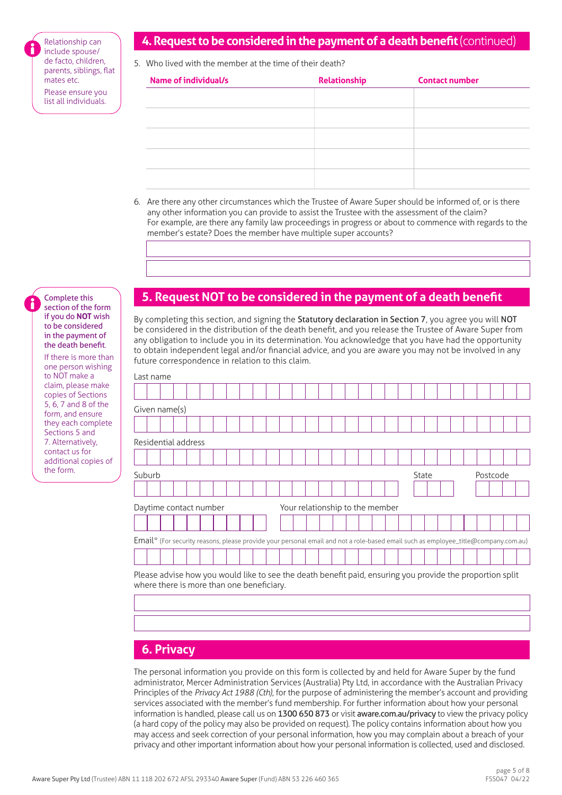Relationship can include spouse/ de facto, children, parents, siblings, flat mates etc. Please ensure you list all individuals.

## **4. Request to be considered in the payment of a death benefit** (continued)

5. Who lived with the member at the time of their death?

| Name of individual/s | Relationship | <b>Contact number</b> |
|----------------------|--------------|-----------------------|
|                      |              |                       |
|                      |              |                       |
|                      |              |                       |
|                      |              |                       |
|                      |              |                       |
|                      |              |                       |
|                      |              |                       |

6. Are there any other circumstances which the Trustee of Aware Super should be informed of, or is there any other information you can provide to assist the Trustee with the assessment of the claim? For example, are there any family law proceedings in progress or about to commence with regards to the member's estate? Does the member have multiple super accounts?

#### Complete this section of the form if you do **NOT** wish to be considered in the payment of the death benefit.

If there is more than one person wishing to NOT make a claim, please make copies of Sections 5, 6, 7 and 8 of the form, and ensure they each complete Sections 5 and 7. Alternatively, contact us for additional copies of the form.

# **5. Request NOT to be considered in the payment of a death benefit**

By completing this section, and signing the Statutory declaration in Section 7, you agree you will NOT be considered in the distribution of the death benefit, and you release the Trustee of Aware Super from any obligation to include you in its determination. You acknowledge that you have had the opportunity to obtain independent legal and/or financial advice, and you are aware you may not be involved in any future correspondence in relation to this claim.

| Last name |                     |                                                                                                                                                        |  |  |  |  |                                 |  |  |       |  |  |          |  |
|-----------|---------------------|--------------------------------------------------------------------------------------------------------------------------------------------------------|--|--|--|--|---------------------------------|--|--|-------|--|--|----------|--|
|           |                     |                                                                                                                                                        |  |  |  |  |                                 |  |  |       |  |  |          |  |
|           | Given name(s)       |                                                                                                                                                        |  |  |  |  |                                 |  |  |       |  |  |          |  |
|           |                     |                                                                                                                                                        |  |  |  |  |                                 |  |  |       |  |  |          |  |
|           | Residential address |                                                                                                                                                        |  |  |  |  |                                 |  |  |       |  |  |          |  |
|           |                     |                                                                                                                                                        |  |  |  |  |                                 |  |  |       |  |  |          |  |
| Suburb    |                     |                                                                                                                                                        |  |  |  |  |                                 |  |  | State |  |  | Postcode |  |
|           |                     |                                                                                                                                                        |  |  |  |  |                                 |  |  |       |  |  |          |  |
|           |                     | Daytime contact number                                                                                                                                 |  |  |  |  | Your relationship to the member |  |  |       |  |  |          |  |
|           |                     |                                                                                                                                                        |  |  |  |  |                                 |  |  |       |  |  |          |  |
|           |                     | Email <sup>*</sup> (For security reasons, please provide your personal email and not a role-based email such as employee_title@company.com.au)         |  |  |  |  |                                 |  |  |       |  |  |          |  |
|           |                     |                                                                                                                                                        |  |  |  |  |                                 |  |  |       |  |  |          |  |
|           |                     | Please advise how you would like to see the death benefit paid, ensuring you provide the proportion split<br>where there is more than one beneficiary. |  |  |  |  |                                 |  |  |       |  |  |          |  |

# **6. Privacy**

The personal information you provide on this form is collected by and held for Aware Super by the fund administrator, Mercer Administration Services (Australia) Pty Ltd, in accordance with the Australian Privacy Principles of the *Privacy Act 1988 (Cth),* for the purpose of administering the member's account and providing services associated with the member's fund membership. For further information about how your personal information is handled, please call us on 1300 650 873 or visit [aware.com.au/privacy](https://aware.com.au/privacy) to view the privacy policy (a hard copy of the policy may also be provided on request). The policy contains information about how you may access and seek correction of your personal information, how you may complain about a breach of your privacy and other important information about how your personal information is collected, used and disclosed.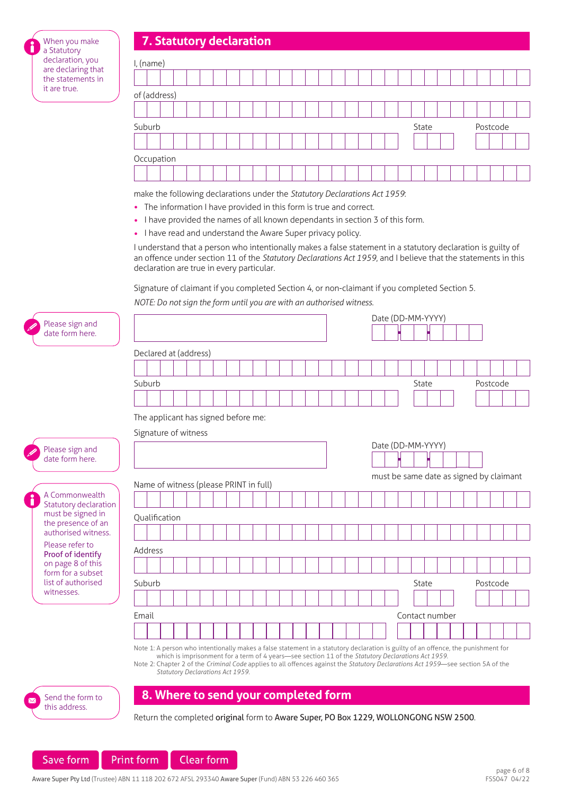| 7. Statutory declaration |  |
|--------------------------|--|
|                          |  |
|                          |  |

When you make a Statutory declaration, you are declaring that the statements in it are true.

| I, (name)    |       |          |
|--------------|-------|----------|
|              |       |          |
| of (address) |       |          |
|              |       |          |
|              |       |          |
| Suburb       | State | Postcode |
|              |       |          |
| Occupation   |       |          |

make the following declarations under the *Statutory Declarations Act 1959*:

- The information I have provided in this form is true and correct.
- I have provided the names of all known dependants in section 3 of this form.
- I have read and understand the Aware Super privacy policy.

I understand that a person who intentionally makes a false statement in a statutory declaration is guilty of an offence under section 11 of the *Statutory Declarations Act 1959*, and I believe that the statements in this declaration are true in every particular.

Signature of claimant if you completed Section 4, or non-claimant if you completed Section 5.

*NOTE: Do not sign the form until you are with an authorised witness*.

| Please sign and                            |               |                                                                                                                                                                                                                                                                                                                                                                                                                 |  |  |  |  |  |  |  | Date (DD-MM-YYYY) |       |                                         |  |          |  |
|--------------------------------------------|---------------|-----------------------------------------------------------------------------------------------------------------------------------------------------------------------------------------------------------------------------------------------------------------------------------------------------------------------------------------------------------------------------------------------------------------|--|--|--|--|--|--|--|-------------------|-------|-----------------------------------------|--|----------|--|
| date form here.                            |               |                                                                                                                                                                                                                                                                                                                                                                                                                 |  |  |  |  |  |  |  |                   |       |                                         |  |          |  |
|                                            |               | Declared at (address)                                                                                                                                                                                                                                                                                                                                                                                           |  |  |  |  |  |  |  |                   |       |                                         |  |          |  |
|                                            |               |                                                                                                                                                                                                                                                                                                                                                                                                                 |  |  |  |  |  |  |  |                   |       |                                         |  |          |  |
|                                            | Suburb        |                                                                                                                                                                                                                                                                                                                                                                                                                 |  |  |  |  |  |  |  |                   | State |                                         |  | Postcode |  |
|                                            |               |                                                                                                                                                                                                                                                                                                                                                                                                                 |  |  |  |  |  |  |  |                   |       |                                         |  |          |  |
|                                            |               | The applicant has signed before me:                                                                                                                                                                                                                                                                                                                                                                             |  |  |  |  |  |  |  |                   |       |                                         |  |          |  |
|                                            |               | Signature of witness                                                                                                                                                                                                                                                                                                                                                                                            |  |  |  |  |  |  |  |                   |       |                                         |  |          |  |
| Please sign and                            |               |                                                                                                                                                                                                                                                                                                                                                                                                                 |  |  |  |  |  |  |  | Date (DD-MM-YYYY) |       |                                         |  |          |  |
| date form here.                            |               |                                                                                                                                                                                                                                                                                                                                                                                                                 |  |  |  |  |  |  |  |                   |       |                                         |  |          |  |
|                                            |               | Name of witness (please PRINT in full)                                                                                                                                                                                                                                                                                                                                                                          |  |  |  |  |  |  |  |                   |       | must be same date as signed by claimant |  |          |  |
| A Commonwealth                             |               |                                                                                                                                                                                                                                                                                                                                                                                                                 |  |  |  |  |  |  |  |                   |       |                                         |  |          |  |
| Statutory declaration<br>must be signed in |               |                                                                                                                                                                                                                                                                                                                                                                                                                 |  |  |  |  |  |  |  |                   |       |                                         |  |          |  |
| the presence of an<br>authorised witness.  | Qualification |                                                                                                                                                                                                                                                                                                                                                                                                                 |  |  |  |  |  |  |  |                   |       |                                         |  |          |  |
| Please refer to                            |               |                                                                                                                                                                                                                                                                                                                                                                                                                 |  |  |  |  |  |  |  |                   |       |                                         |  |          |  |
| Proof of identify                          | Address       |                                                                                                                                                                                                                                                                                                                                                                                                                 |  |  |  |  |  |  |  |                   |       |                                         |  |          |  |
| on page 8 of this<br>form for a subset     |               |                                                                                                                                                                                                                                                                                                                                                                                                                 |  |  |  |  |  |  |  |                   |       |                                         |  |          |  |
| list of authorised<br>witnesses.           | Suburb        |                                                                                                                                                                                                                                                                                                                                                                                                                 |  |  |  |  |  |  |  |                   | State |                                         |  | Postcode |  |
|                                            |               |                                                                                                                                                                                                                                                                                                                                                                                                                 |  |  |  |  |  |  |  |                   |       |                                         |  |          |  |
|                                            | Email         |                                                                                                                                                                                                                                                                                                                                                                                                                 |  |  |  |  |  |  |  |                   |       | Contact number                          |  |          |  |
|                                            |               |                                                                                                                                                                                                                                                                                                                                                                                                                 |  |  |  |  |  |  |  |                   |       |                                         |  |          |  |
|                                            |               | Note 1: A person who intentionally makes a false statement in a statutory declaration is guilty of an offence, the punishment for<br>which is imprisonment for a term of 4 years-see section 11 of the Statutory Declarations Act 1959.<br>Note 2: Chapter 2 of the Criminal Code applies to all offences against the Statutory Declarations Act 1959-see section 5A of the<br>Statutory Declarations Act 1959. |  |  |  |  |  |  |  |                   |       |                                         |  |          |  |



Return the completed original form to Aware Super, PO Box 1229, WOLLONGONG NSW 2500.



this address.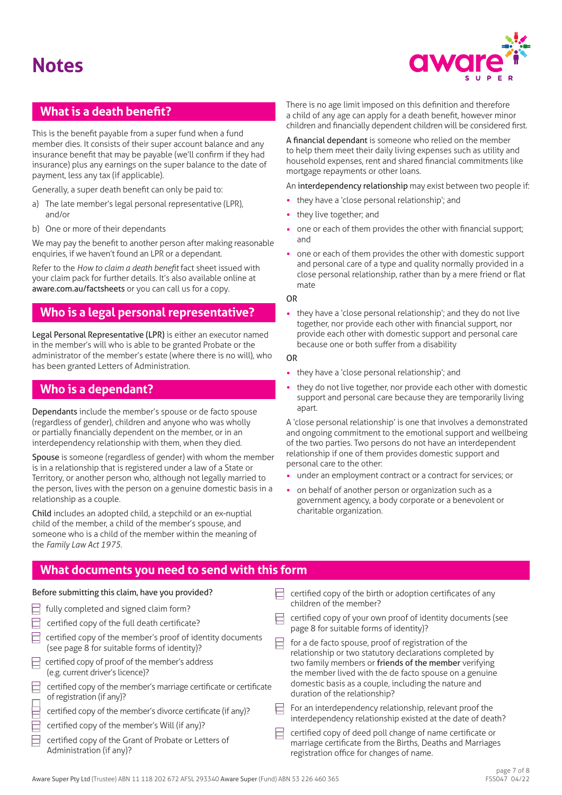# **Notes**



# **What is a death benefit?**

This is the benefit payable from a super fund when a fund member dies. It consists of their super account balance and any insurance benefit that may be payable (we'll confirm if they had insurance) plus any earnings on the super balance to the date of payment, less any tax (if applicable).

Generally, a super death benefit can only be paid to:

- a) The late member's legal personal representative (LPR), and/or
- b) One or more of their dependants

We may pay the benefit to another person after making reasonable enquiries, if we haven't found an LPR or a dependant.

Refer to the *How to claim a death benefit* fact sheet issued with your claim pack for further details. It's also available online at [aware.com.au/factsheets](https://aware.com.au/factsheets) or you can call us for a copy.

## **Who is a legal personal representative?**

Legal Personal Representative (LPR) is either an executor named in the member's will who is able to be granted Probate or the administrator of the member's estate (where there is no will), who has been granted Letters of Administration.

# **Who is a dependant?**

Dependants include the member's spouse or de facto spouse (regardless of gender), children and anyone who was wholly or partially financially dependent on the member, or in an interdependency relationship with them, when they died.

Spouse is someone (regardless of gender) with whom the member is in a relationship that is registered under a law of a State or Territory, or another person who, although not legally married to the person, lives with the person on a genuine domestic basis in a relationship as a couple.

Child includes an adopted child, a stepchild or an ex-nuptial child of the member, a child of the member's spouse, and someone who is a child of the member within the meaning of the *Family Law Act 1975*.

There is no age limit imposed on this definition and therefore a child of any age can apply for a death benefit, however minor children and financially dependent children will be considered first.

A financial dependant is someone who relied on the member to help them meet their daily living expenses such as utility and household expenses, rent and shared financial commitments like mortgage repayments or other loans.

An interdependency relationship may exist between two people if:

- they have a 'close personal relationship'; and
- they live together; and
- one or each of them provides the other with financial support; and
- one or each of them provides the other with domestic support and personal care of a type and quality normally provided in a close personal relationship, rather than by a mere friend or flat mate

OR

• they have a 'close personal relationship'; and they do not live together, nor provide each other with financial support, nor provide each other with domestic support and personal care because one or both suffer from a disability

#### OR

- they have a 'close personal relationship'; and
- they do not live together, nor provide each other with domestic support and personal care because they are temporarily living apart.

A 'close personal relationship' is one that involves a demonstrated and ongoing commitment to the emotional support and wellbeing of the two parties. Two persons do not have an interdependent relationship if one of them provides domestic support and personal care to the other:

- under an employment contract or a contract for services; or
- on behalf of another person or organization such as a government agency, a body corporate or a benevolent or charitable organization.

# **What documents you need to send with this form**

#### Before submitting this claim, have you provided?  $\Box$  certified copy of the birth or adoption certificates of any

Ē Ē Ē

Ē

E

E

E

| fully completed and signed claim form?                                                                     | children of the member?                                                                                                                                             |
|------------------------------------------------------------------------------------------------------------|---------------------------------------------------------------------------------------------------------------------------------------------------------------------|
| certified copy of the full death certificate?                                                              | certified copy of your own proof of identity documents (see<br>page 8 for suitable forms of identity)?                                                              |
| certified copy of the member's proof of identity documents<br>(see page 8 for suitable forms of identity)? | for a de facto spouse, proof of registration of the<br>relationship or two statutory declarations completed by                                                      |
| certified copy of proof of the member's address<br>(e.g. current driver's licence)?                        | two family members or friends of the member verifying<br>the member lived with the de facto spouse on a genuine                                                     |
| certified copy of the member's marriage certificate or certificate<br>of registration (if any)?            | domestic basis as a couple, including the nature and<br>duration of the relationship?                                                                               |
| certified copy of the member's divorce certificate (if any)?                                               | For an interdependency relationship, relevant proof the<br>interdependency relationship existed at the date of death?                                               |
| certified copy of the member's Will (if any)?                                                              |                                                                                                                                                                     |
| certified copy of the Grant of Probate or Letters of<br>Administration (if any)?                           | certified copy of deed poll change of name certificate or<br>marriage certificate from the Births, Deaths and Marriages<br>registration office for changes of name. |